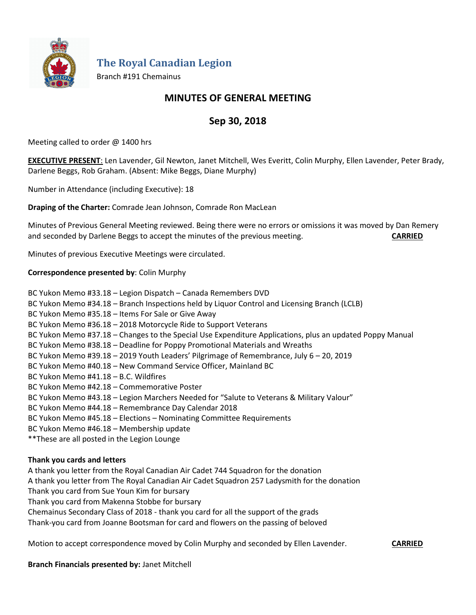

**The Royal Canadian Legion**

Branch #191 Chemainus

# **MINUTES OF GENERAL MEETING**

# **Sep 30, 2018**

Meeting called to order @ 1400 hrs

**EXECUTIVE PRESENT**: Len Lavender, Gil Newton, Janet Mitchell, Wes Everitt, Colin Murphy, Ellen Lavender, Peter Brady, Darlene Beggs, Rob Graham. (Absent: Mike Beggs, Diane Murphy)

Number in Attendance (including Executive): 18

**Draping of the Charter:** Comrade Jean Johnson, Comrade Ron MacLean

Minutes of Previous General Meeting reviewed. Being there were no errors or omissions it was moved by Dan Remery and seconded by Darlene Beggs to accept the minutes of the previous meeting. **CARRIED**

Minutes of previous Executive Meetings were circulated.

# **Correspondence presented by**: Colin Murphy

BC Yukon Memo #33.18 – Legion Dispatch – Canada Remembers DVD BC Yukon Memo #34.18 – Branch Inspections held by Liquor Control and Licensing Branch (LCLB) BC Yukon Memo #35.18 – Items For Sale or Give Away BC Yukon Memo #36.18 – 2018 Motorcycle Ride to Support Veterans BC Yukon Memo #37.18 – Changes to the Special Use Expenditure Applications, plus an updated Poppy Manual BC Yukon Memo #38.18 – Deadline for Poppy Promotional Materials and Wreaths BC Yukon Memo #39.18 – 2019 Youth Leaders' Pilgrimage of Remembrance, July 6 – 20, 2019 BC Yukon Memo #40.18 – New Command Service Officer, Mainland BC BC Yukon Memo #41.18 – B.C. Wildfires BC Yukon Memo #42.18 – Commemorative Poster BC Yukon Memo #43.18 – Legion Marchers Needed for "Salute to Veterans & Military Valour" BC Yukon Memo #44.18 – Remembrance Day Calendar 2018 BC Yukon Memo #45.18 – Elections – Nominating Committee Requirements BC Yukon Memo #46.18 – Membership update \*\*These are all posted in the Legion Lounge

## **Thank you cards and letters**

A thank you letter from the Royal Canadian Air Cadet 744 Squadron for the donation A thank you letter from The Royal Canadian Air Cadet Squadron 257 Ladysmith for the donation Thank you card from Sue Youn Kim for bursary Thank you card from Makenna Stobbe for bursary Chemainus Secondary Class of 2018 - thank you card for all the support of the grads

Thank-you card from Joanne Bootsman for card and flowers on the passing of beloved

Motion to accept correspondence moved by Colin Murphy and seconded by Ellen Lavender. **CARRIED**

**Branch Financials presented by:** Janet Mitchell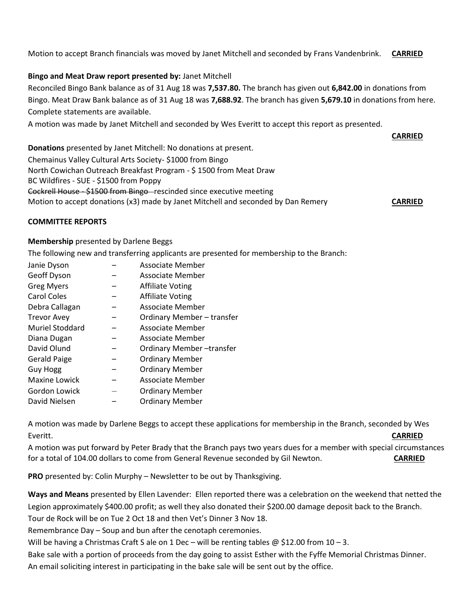Motion to accept Branch financials was moved by Janet Mitchell and seconded by Frans Vandenbrink. **CARRIED**

# **Bingo and Meat Draw report presented by:** Janet Mitchell

Reconciled Bingo Bank balance as of 31 Aug 18 was **7,537.80.** The branch has given out **6,842.00** in donations from Bingo. Meat Draw Bank balance as of 31 Aug 18 was **7,688.92**. The branch has given **5,679.10** in donations from here. Complete statements are available.

A motion was made by Janet Mitchell and seconded by Wes Everitt to accept this report as presented.

**CARRIED**

**Donations** presented by Janet Mitchell: No donations at present. Chemainus Valley Cultural Arts Society- \$1000 from Bingo North Cowichan Outreach Breakfast Program - \$ 1500 from Meat Draw BC Wildfires - SUE - \$1500 from Poppy Cockrell House - \$1500 from Bingo-rescinded since executive meeting Motion to accept donations (x3) made by Janet Mitchell and seconded by Dan Remery **CARRIED**

#### **COMMITTEE REPORTS**

### **Membership** presented by Darlene Beggs

The following new and transferring applicants are presented for membership to the Branch:

| Janie Dyson            | Associate Member           |
|------------------------|----------------------------|
| Geoff Dyson            | Associate Member           |
| <b>Greg Myers</b>      | <b>Affiliate Voting</b>    |
| <b>Carol Coles</b>     | <b>Affiliate Voting</b>    |
| Debra Callagan         | <b>Associate Member</b>    |
| <b>Trevor Avey</b>     | Ordinary Member - transfer |
| <b>Muriel Stoddard</b> | Associate Member           |
| Diana Dugan            | Associate Member           |
| David Olund            | Ordinary Member-transfer   |
| <b>Gerald Paige</b>    | <b>Ordinary Member</b>     |
| <b>Guy Hogg</b>        | <b>Ordinary Member</b>     |
| Maxine Lowick          | Associate Member           |
| Gordon Lowick          | <b>Ordinary Member</b>     |
| David Nielsen          | <b>Ordinary Member</b>     |

A motion was made by Darlene Beggs to accept these applications for membership in the Branch, seconded by Wes Everitt. **CARRIED**

A motion was put forward by Peter Brady that the Branch pays two years dues for a member with special circumstances for a total of 104.00 dollars to come from General Revenue seconded by Gil Newton. **CARRIED**

**PRO** presented by: Colin Murphy – Newsletter to be out by Thanksgiving.

**Ways and Means** presented by Ellen Lavender: Ellen reported there was a celebration on the weekend that netted the Legion approximately \$400.00 profit; as well they also donated their \$200.00 damage deposit back to the Branch. Tour de Rock will be on Tue 2 Oct 18 and then Vet's Dinner 3 Nov 18.

Remembrance Day – Soup and bun after the cenotaph ceremonies.

Will be having a Christmas Craft S ale on 1 Dec – will be renting tables  $@$  \$12.00 from 10 – 3.

Bake sale with a portion of proceeds from the day going to assist Esther with the Fyffe Memorial Christmas Dinner. An email soliciting interest in participating in the bake sale will be sent out by the office.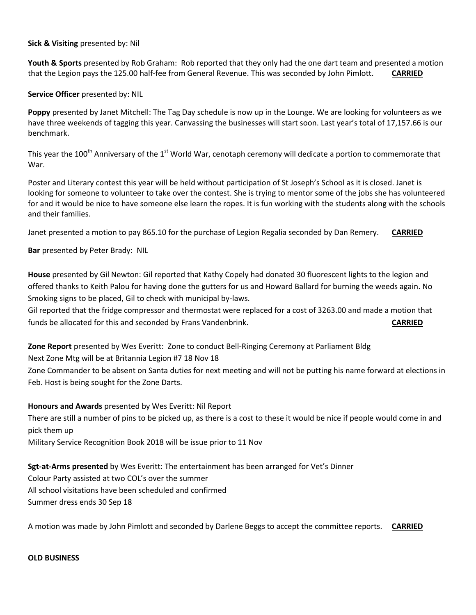#### **Sick & Visiting** presented by: Nil

**Youth & Sports** presented by Rob Graham: Rob reported that they only had the one dart team and presented a motion that the Legion pays the 125.00 half-fee from General Revenue. This was seconded by John Pimlott. **CARRIED**

### **Service Officer** presented by: NIL

**Poppy** presented by Janet Mitchell: The Tag Day schedule is now up in the Lounge. We are looking for volunteers as we have three weekends of tagging this year. Canvassing the businesses will start soon. Last year's total of 17,157.66 is our benchmark.

This year the 100<sup>th</sup> Anniversary of the 1<sup>st</sup> World War, cenotaph ceremony will dedicate a portion to commemorate that War.

Poster and Literary contest this year will be held without participation of St Joseph's School as it is closed. Janet is looking for someone to volunteer to take over the contest. She is trying to mentor some of the jobs she has volunteered for and it would be nice to have someone else learn the ropes. It is fun working with the students along with the schools and their families.

Janet presented a motion to pay 865.10 for the purchase of Legion Regalia seconded by Dan Remery. **CARRIED**

**Bar** presented by Peter Brady: NIL

**House** presented by Gil Newton: Gil reported that Kathy Copely had donated 30 fluorescent lights to the legion and offered thanks to Keith Palou for having done the gutters for us and Howard Ballard for burning the weeds again. No Smoking signs to be placed, Gil to check with municipal by-laws.

Gil reported that the fridge compressor and thermostat were replaced for a cost of 3263.00 and made a motion that funds be allocated for this and seconded by Frans Vandenbrink. **CARRIED**

**Zone Report** presented by Wes Everitt: Zone to conduct Bell-Ringing Ceremony at Parliament Bldg

Next Zone Mtg will be at Britannia Legion #7 18 Nov 18

Zone Commander to be absent on Santa duties for next meeting and will not be putting his name forward at elections in Feb. Host is being sought for the Zone Darts.

## **Honours and Awards** presented by Wes Everitt: Nil Report

There are still a number of pins to be picked up, as there is a cost to these it would be nice if people would come in and pick them up

Military Service Recognition Book 2018 will be issue prior to 11 Nov

**Sgt-at-Arms presented** by Wes Everitt: The entertainment has been arranged for Vet's Dinner Colour Party assisted at two COL's over the summer All school visitations have been scheduled and confirmed Summer dress ends 30 Sep 18

A motion was made by John Pimlott and seconded by Darlene Beggs to accept the committee reports. **CARRIED**

#### **OLD BUSINESS**